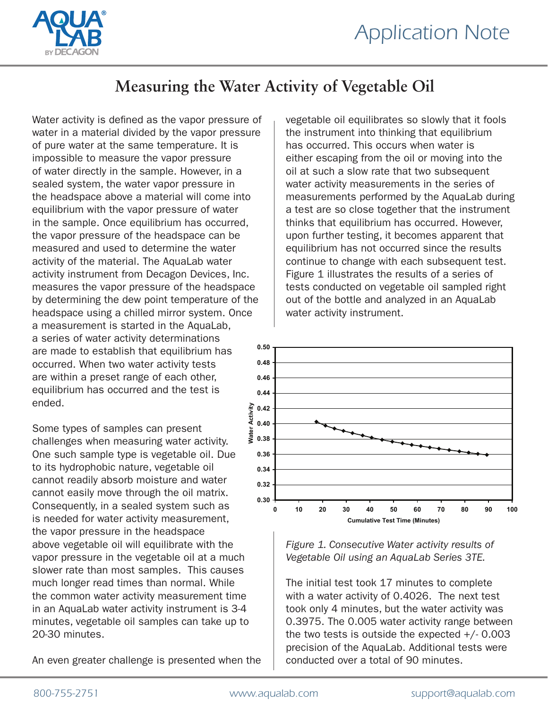

## **Measuring the Water Activity of Vegetable Oil**

Water activity is defined as the vapor pressure of water in a material divided by the vapor pressure of pure water at the same temperature. It is impossible to measure the vapor pressure of water directly in the sample. However, in a sealed system, the water vapor pressure in the headspace above a material will come into equilibrium with the vapor pressure of water in the sample. Once equilibrium has occurred, the vapor pressure of the headspace can be measured and used to determine the water activity of the material. The AquaLab water activity instrument from Decagon Devices, Inc. measures the vapor pressure of the headspace by determining the dew point temperature of the headspace using a chilled mirror system. Once a measurement is started in the AquaLab, a series of water activity determinations are made to establish that equilibrium has occurred. When two water activity tests are within a preset range of each other, equilibrium has occurred and the test is ended.

Some types of samples can present challenges when measuring water activity. One such sample type is vegetable oil. Due to its hydrophobic nature, vegetable oil cannot readily absorb moisture and water cannot easily move through the oil matrix. Consequently, in a sealed system such as is needed for water activity measurement, the vapor pressure in the headspace above vegetable oil will equilibrate with the vapor pressure in the vegetable oil at a much slower rate than most samples. This causes much longer read times than normal. While the common water activity measurement time in an AquaLab water activity instrument is 3-4 minutes, vegetable oil samples can take up to 20-30 minutes.

An even greater challenge is presented when the

vegetable oil equilibrates so slowly that it fools the instrument into thinking that equilibrium has occurred. This occurs when water is either escaping from the oil or moving into the oil at such a slow rate that two subsequent water activity measurements in the series of measurements performed by the AquaLab during a test are so close together that the instrument thinks that equilibrium has occurred. However, upon further testing, it becomes apparent that equilibrium has not occurred since the results continue to change with each subsequent test. Figure 1 illustrates the results of a series of tests conducted on vegetable oil sampled right out of the bottle and analyzed in an AquaLab water activity instrument.



*Figure 1. Consecutive Water activity results of Vegetable Oil using an AquaLab Series 3TE.*

The initial test took 17 minutes to complete with a water activity of 0.4026. The next test took only 4 minutes, but the water activity was 0.3975. The 0.005 water activity range between the two tests is outside the expected  $+/$ - 0.003 precision of the AquaLab. Additional tests were conducted over a total of 90 minutes.